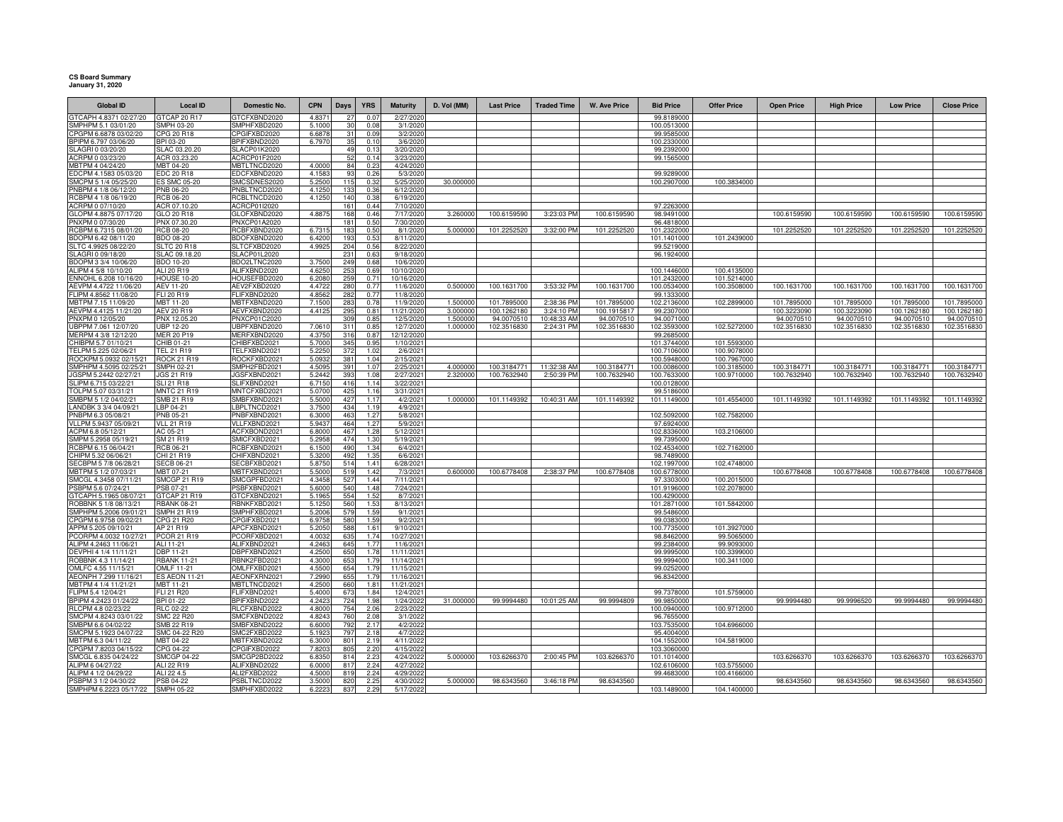## **CS Board Summary January 31, 2020**

| <b>Global ID</b>                              | <b>Local ID</b>                        | Domestic No.                 | <b>CPN</b>      | Days       | <b>YRS</b>    | <b>Maturity</b>         | D. Vol (MM) | <b>Last Price</b> | <b>Traded Time</b> | <b>W. Ave Price</b> | <b>Bid Price</b>           | <b>Offer Price</b>         | <b>Open Price</b> | <b>High Price</b> | <b>Low Price</b> | <b>Close Price</b> |
|-----------------------------------------------|----------------------------------------|------------------------------|-----------------|------------|---------------|-------------------------|-------------|-------------------|--------------------|---------------------|----------------------------|----------------------------|-------------------|-------------------|------------------|--------------------|
| GTCAPH 4.8371 02/27/20                        | GTCAP 20 R17                           | <b>GTCFXBND2020</b>          | 4.837           | 27         | 0.07          | 2/27/2020               |             |                   |                    |                     | 99.8189000                 |                            |                   |                   |                  |                    |
| SMPHPM 5.1 03/01/20                           | SMPH 03-20                             | SMPHFXBD2020                 | 5.1000          | 30         | 0.08          | 3/1/2020                |             |                   |                    |                     | 100.0513000                |                            |                   |                   |                  |                    |
| CPGPM 6.6878 03/02/20                         | CPG 20 R18                             | CPGIFXBD2020                 | 6.6878          | 31         | 0.09          | 3/2/2020                |             |                   |                    |                     | 99.9585000                 |                            |                   |                   |                  |                    |
| BPIPM 6.797 03/06/20                          | BPI 03-20                              | BPIFXBND2020                 | 6.7970          | 35         | 0.10          | 3/6/2020                |             |                   |                    |                     | 100.2330000                |                            |                   |                   |                  |                    |
| SLAGRI 0 03/20/20<br>ACRPM 0 03/23/20         | SLAC 03.20.20<br>ACR 03.23.20          | SLACP01K2020<br>ACRCP01F2020 |                 | 49<br>52   | 0.13<br>0.14  | 3/20/2020<br>3/23/2020  |             |                   |                    |                     | 99.2392000<br>99.1565000   |                            |                   |                   |                  |                    |
| MBTPM 4 04/24/20                              | MBT 04-20                              | MBTLTNCD2020                 | 4.0000          | 84         | 0.23          | 4/24/2020               |             |                   |                    |                     |                            |                            |                   |                   |                  |                    |
| EDCPM 4.1583 05/03/20                         | EDC 20 R18                             | EDCFXBND2020                 | 4.1583          | 93         | 0.26          | 5/3/2020                |             |                   |                    |                     | 99.9289000                 |                            |                   |                   |                  |                    |
| SMCPM 5 1/4 05/25/20                          | <b>ES SMC 05-20</b>                    | SMCSDNES2020                 | 5.2500          | 115        | 0.32          | 5/25/2020               | 30.000000   |                   |                    |                     | 100.2907000                | 100.3834000                |                   |                   |                  |                    |
| PNBPM 4 1/8 06/12/20                          | <b>PNB 06-20</b>                       | PNBLTNCD2020                 | 4.1250          | 133        | 0.36          | 6/12/2020               |             |                   |                    |                     |                            |                            |                   |                   |                  |                    |
| RCBPM 4 1/8 06/19/20                          | <b>RCB 06-20</b>                       | RCBLTNCD2020                 | 4.125           | 140        | 0.38          | 6/19/2020               |             |                   |                    |                     |                            |                            |                   |                   |                  |                    |
| ACRPM 0 07/10/20                              | ACR 07.10.20                           | ACRCP01I2020                 |                 | 161        | 0.44          | 7/10/2020               |             |                   |                    |                     | 97.2263000                 |                            |                   |                   |                  |                    |
| GLOPM 4.8875 07/17/20                         | GLO 20 R18                             | GLOFXBND2020                 | 4.887           | 168        | 0.46          | 7/17/2020               | 3.260000    | 100.6159590       | 3:23:03 PM         | 100.6159590         | 98.9491000                 |                            | 100.6159590       | 100.6159590       | 100.6159590      | 100.6159590        |
| PNXPM 0 07/30/20<br>RCBPM 6.7315 08/01/20     | PNX 07.30.20<br><b>RCB 08-20</b>       | PNXCP01A2020<br>RCBFXBND2020 | 6.7315          | 181        | 0.50<br>0.50  | 7/30/2020<br>8/1/2020   | 5.000000    | 101.2252520       | 3:32:00 PM         | 101.2252520         | 96.4818000                 |                            | 101.2252520       | 101.2252520       | 101.2252520      | 101.2252520        |
| BDOPM 6.42 08/11/20                           | BDO 08-20                              | BDOFXBND2020                 | 6.4200          | 183<br>193 | 0.53          | 8/11/2020               |             |                   |                    |                     | 101.2322000<br>101.1401000 | 101.2439000                |                   |                   |                  |                    |
| SLTC 4.9925 08/22/20                          | <b>SLTC 20 R18</b>                     | SLTCFXBD2020                 | 4.992           | 204        | 0.56          | 8/22/2020               |             |                   |                    |                     | 99.5219000                 |                            |                   |                   |                  |                    |
| SLAGRI 0 09/18/20                             | SLAC 09.18.20                          | <b>SLACP01L2020</b>          |                 | 231        | 0.63          | 9/18/2020               |             |                   |                    |                     | 96.1924000                 |                            |                   |                   |                  |                    |
| BDOPM 3 3/4 10/06/20                          | <b>BDO 10-20</b>                       | BDO2LTNC2020                 | 3.7500          | 249        | 0.68          | 10/6/2020               |             |                   |                    |                     |                            |                            |                   |                   |                  |                    |
| ALIPM 4 5/8 10/10/20                          | ALI 20 R19                             | ALIFXBND2020                 | 4.6250          | 253        | 0.69          | 10/10/2020              |             |                   |                    |                     | 100.1446000                | 100.4135000                |                   |                   |                  |                    |
| ENNOHL 6.208 10/16/20                         | <b>HOUSE 10-20</b>                     | HOUSEFBD2020                 | 6.208           | 259        | 0.71          | 10/16/2020              |             |                   |                    |                     | 101.2432000                | 101.5214000                |                   |                   |                  |                    |
| AEVPM 4.4722 11/06/20                         | AEV 11-20                              | AEV2FXBD2020                 | 4.472           | 280        | 0.77          | 11/6/2020               | 0.500000    | 100.1631700       | 3:53:32 PM         | 100.1631700         | 100.0534000                | 100.3508000                | 100.1631700       | 100.1631700       | 100.1631700      | 100.1631700        |
| FLIPM 4.8562 11/08/20<br>MBTPM 7.15 11/09/20  | FLI 20 R19<br>MBT 11-20                | FLIFXBND2020                 | 4.856<br>7.150  | 282<br>283 | 0.77<br>0.78  | 11/8/2020<br>11/9/2020  | 1.50000     | 101.7895000       | 2:38:36 PM         | 101.7895000         | 99.1333000<br>102.2136000  |                            | 101.7895000       | 101.7895000       | 101.7895000      | 101.7895000        |
| AEVPM 4.4125 11/21/20                         | <b>AEV 20 R19</b>                      | MBTFXBND2020<br>AEVFXBND2020 | 4.412           | 295        | $0.8^{\circ}$ | 11/21/2020              | 3.00000     | 100.1262180       | 3:24:10 PM         | 100.1915817         | 99.2307000                 | 102.2899000                | 100.3223090       | 100.3223090       | 100.1262180      | 100.1262180        |
| PNXPM 0 12/05/20                              | PNX 12.05.20                           | PNXCP01C2020                 |                 | 309        | 0.85          | 12/5/2020               | 1.50000     | 94.0070510        | 10:48:33 AM        | 94.0070510          | 94.0071000                 |                            | 94.0070510        | 94.0070510        | 94.0070510       | 94.0070510         |
| UBPPM 7.061 12/07/20                          | <b>UBP 12-20</b>                       | UBPFXBND2020                 | 7.061           | 311        | 0.85          | 12/7/2020               | 1.00000     | 102.3516830       | 2:24:31 PM         | 102.3516830         | 102.3593000                | 102.5272000                | 102.3516830       | 102.3516830       | 102.3516830      | 102.3516830        |
| MERPM 4 3/8 12/12/20                          | MER 20 P19                             | MERFXBND2020                 | 4.375           | 316        | 0.87          | 12/12/2020              |             |                   |                    |                     | 99.2685000                 |                            |                   |                   |                  |                    |
| CHIBPM 5.7 01/10/21                           | CHIB 01-21                             | CHIBFXBD2021                 | 5.700           | 345        | 0.95          | 1/10/2021               |             |                   |                    |                     | 101.3744000                | 101.5593000                |                   |                   |                  |                    |
| TELPM 5.225 02/06/21                          | <b>TEL 21 R19</b>                      | TELFXBND2021                 | 5.225           | 372        | 1.02          | 2/6/2021                |             |                   |                    |                     | 100.7106000                | 100.9078000                |                   |                   |                  |                    |
| ROCKPM 5.0932 02/15/21                        | <b>ROCK 21 R19</b>                     | ROCKFXBD2021                 | 5.093           | 381        | 1.04          | 2/15/2021               |             |                   |                    |                     | 100.5948000                | 100.7967000                |                   |                   |                  |                    |
| SMPHPM 4.5095 02/25/21                        | <b>SMPH 02-21</b>                      | SMPH2FBD2021                 | 4.509           | 391        | 1.0           | 2/25/2021               | 4.000000    | 100.3184771       | 11:32:38 AM        | 100.3184771         | 100.0086000                | 100.3185000                | 100.3184771       | 100.3184771       | 100.3184771      | 100.3184771        |
| JGSPM 5.2442 02/27/21<br>SLIPM 6.715 03/22/21 | <b>JGS 21 R19</b><br><b>SLI 21 R18</b> | JGSFXBND2021<br>SLIFXBND2021 | 5.244<br>6.715  | 393<br>416 | 1.08<br>1.14  | 2/27/2021<br>3/22/2021  | 2.32000     | 100.7632940       | 2:50:39 PM         | 100.7632940         | 100.7633000<br>100.0128000 | 100.9710000                | 100.7632940       | 100.7632940       | 100.7632940      | 100.7632940        |
| TOLPM 5.07 03/31/21                           | <b>MNTC 21 R19</b>                     | MNTCFXBD2021                 | 5.070           | 425        | 1.16          | 3/31/2021               |             |                   |                    |                     | 99.5186000                 |                            |                   |                   |                  |                    |
| SMBPM 5 1/2 04/02/21                          | SMB 21 R19                             | SMBFXBND2021                 | 5.500           | 427        | 1.1           | 4/2/2021                | 1.000000    | 101.1149392       | 10:40:31 AM        | 101.1149392         | 101.1149000                | 101.4554000                | 101.1149392       | 101.1149392       | 101.1149392      | 101.1149392        |
| LANDBK 3 3/4 04/09/21                         | LBP 04-21                              | LBPLTNCD2021                 | 3.750           | 434        | 1.19          | 4/9/2021                |             |                   |                    |                     |                            |                            |                   |                   |                  |                    |
| PNBPM 6.3 05/08/21                            | <b>PNB 05-21</b>                       | PNBFXBND2021                 | 6.3000          | 463        | 1.27          | 5/8/2021                |             |                   |                    |                     | 102.5092000                | 102.7582000                |                   |                   |                  |                    |
| VLLPM 5.9437 05/09/21                         | <b>VLL 21 R19</b>                      | VLLFXBND2021                 | 5.943           | 464        | 1.27          | 5/9/2021                |             |                   |                    |                     | 97.6924000                 |                            |                   |                   |                  |                    |
| ACPM 6.8 05/12/21                             | AC 05-21                               | ACFXBOND2021                 | 6.8000          | 467        | 1.28          | 5/12/2021               |             |                   |                    |                     | 102.8336000                | 103.2106000                |                   |                   |                  |                    |
| SMPM 5.2958 05/19/21                          | SM 21 R19                              | SMICFXBD2021                 | 5.295           | 474        | 1.30          | 5/19/2021               |             |                   |                    |                     | 99.7395000                 |                            |                   |                   |                  |                    |
| RCBPM 6.15 06/04/21<br>CHIPM 5.32 06/06/21    | RCB 06-21<br>CHI 21 R19                | RCBFXBND2021<br>CHIFXBND2021 | 6.150<br>5.320  | 490<br>492 | 1.34          | 6/4/2021<br>6/6/2021    |             |                   |                    |                     | 102.4534000<br>98.7489000  | 102.7162000                |                   |                   |                  |                    |
| SECBPM 5 7/8 06/28/21                         | <b>SECB 06-21</b>                      | SECBFXBD2021                 | 5.875           | 514        | 1.35<br>1.4   | 6/28/2021               |             |                   |                    |                     | 102.1997000                | 102.4748000                |                   |                   |                  |                    |
| MBTPM 5 1/2 07/03/21                          | MBT 07-21                              | MBTFXBND2021                 | 5.500           | 519        | 1.42          | 7/3/2021                | 0.600000    | 100.6778408       | 2:38:37 PM         | 100.6778408         | 100.6778000                |                            | 100.6778408       | 100.6778408       | 100.6778408      | 100.6778408        |
| SMCGL 4.3458 07/11/21                         | <b>SMCGP 21 R19</b>                    | SMCGPFBD2021                 | 4.345           | 527        | 1.44          | 7/11/2021               |             |                   |                    |                     | 97.3303000                 | 100.2015000                |                   |                   |                  |                    |
| PSBPM 5.6 07/24/21                            | PSB 07-21                              | PSBFXBND2021                 | 5.600           | 540        | 1.48          | 7/24/2021               |             |                   |                    |                     | 101.9196000                | 102.2078000                |                   |                   |                  |                    |
| 3TCAPH 5.1965 08/07/21                        | GTCAP 21 R19                           | 3TCFXBND2021                 | 5.196           | 554        | 1.52          | 8/7/2021                |             |                   |                    |                     | 100.4290000                |                            |                   |                   |                  |                    |
| ROBBNK 5 1/8 08/13/21                         | <b>RBANK 08-21</b>                     | <b>BNKFXBD2021</b>           | 5.125           | 560        | 1.53          | 8/13/2021               |             |                   |                    |                     | 101.2871000                | 101.5842000                |                   |                   |                  |                    |
| SMPHPM 5.2006 09/01/21                        | <b>SMPH 21 R19</b>                     | SMPHFXBD2021                 | 5.200           | 579        | 1.59          | 9/1/2021                |             |                   |                    |                     | 99.5486000                 |                            |                   |                   |                  |                    |
| CPGPM 6.9758 09/02/21                         | CPG 21 R20                             | PGIFXBD2021<br>APCFXBND2021  | 6.975           | 580<br>588 | 1.59          | 9/2/2021                |             |                   |                    |                     | 99.0383000<br>100.7735000  | 101.3927000                |                   |                   |                  |                    |
| APPM 5.205 09/10/21<br>PCORPM 4.0032 10/27/21 | AP 21 R19<br>PCOR 21 R19               | <b>CORFXBD2021</b>           | 5.205<br>4.003  | 635        | 1.61<br>1.74  | 9/10/2021<br>10/27/2021 |             |                   |                    |                     | 98.8462000                 | 99.5065000                 |                   |                   |                  |                    |
| ALIPM 4.2463 11/06/21                         | ALI 11-21                              | ALIFXBND2021                 | 4.246           | 645        | 1.77          | 11/6/2021               |             |                   |                    |                     | 99.2384000                 | 99.9093000                 |                   |                   |                  |                    |
| DEVPHI 4 1/4 11/11/21                         | DBP 11-21                              | DBPFXBND2021                 | 4.250           | 650        | 1.78          | 11/11/2021              |             |                   |                    |                     | 99.9995000                 | 100.3399000                |                   |                   |                  |                    |
| ROBBNK 4.3 11/14/21                           | <b>RBANK 11-21</b>                     | RBNK2FBD2021                 | 4.3000          | 653        | 1.79          | 11/14/2021              |             |                   |                    |                     | 99.9994000                 | 100.3411000                |                   |                   |                  |                    |
| OMLFC 4.55 11/15/21                           | OMLF 11-21                             | OMLFFXBD2021                 | 4.550           | 654        | 1.79          | 11/15/2021              |             |                   |                    |                     | 99.0252000                 |                            |                   |                   |                  |                    |
| AEONPH 7.299 11/16/21                         | <b>ES AEON 11-21</b>                   | AEONFXRN2021                 | 7.299           | 655        | 1.79          | 11/16/2021              |             |                   |                    |                     | 96.8342000                 |                            |                   |                   |                  |                    |
| MBTPM 4 1/4 11/21/21                          | MBT 11-21                              | <b>MBTLTNCD2021</b>          | 4.250           | 660        | 1.81          | 11/21/2021              |             |                   |                    |                     |                            |                            |                   |                   |                  |                    |
| FLIPM 5.4 12/04/21<br>BPIPM 4.2423 01/24/22   | <b>FLI 21 R20</b><br>BPI 01-22         | FLIFXBND2021<br>BPIFXBND2022 | 5.400<br>4.242  | 673<br>724 | 1.84<br>1.98  | 12/4/2021<br>1/24/2022  | 31.000000   | 99.9994480        | 10:01:25 AM        | 99.9994809          | 99.7378000<br>99.9850000   | 101.5759000                | 99.9994480        | 99.9996520        | 99.9994480       | 99.9994480         |
| RLCPM 4.8 02/23/22                            | <b>RLC 02-22</b>                       | RLCFXBND2022                 | 4.800           | 754        | 2.06          | 2/23/2022               |             |                   |                    |                     | 100.0940000                | 100.9712000                |                   |                   |                  |                    |
| SMCPM 4.8243 03/01/22                         | <b>SMC 22 R20</b>                      | SMCFXBND2022                 | 4.824           | 760        | 2.08          | 3/1/2022                |             |                   |                    |                     | 96.7655000                 |                            |                   |                   |                  |                    |
| SMBPM 6.6 04/02/22                            | SMB 22 R19                             | SMBFXBND2022                 | 6.6000          | 792        | 2.17          | 4/2/2022                |             |                   |                    |                     | 103.7535000                | 104.6966000                |                   |                   |                  |                    |
| SMCPM 5.1923 04/07/22                         | SMC 04-22 R20                          | SMC2FXBD2022                 | 5.1923          | 797        | 2.18          | 4/7/2022                |             |                   |                    |                     | 95.4004000                 |                            |                   |                   |                  |                    |
| MBTPM 6.3 04/11/22                            | MBT 04-22                              | MBTFXBND2022                 | 6.3000          | 801        | 2.19          | 4/11/2022               |             |                   |                    |                     | 104.1552000                | 104.5819000                |                   |                   |                  |                    |
| CPGPM 7.8203 04/15/22                         | CPG 04-22                              | CPGIFXBD2022                 | 7.8203          | 805        | 2.20          | 4/15/2022               |             |                   |                    |                     | 103.3060000                |                            |                   |                   |                  |                    |
| SMCGL 6.835 04/24/22                          | <b>SMCGP 04-22</b>                     | SMCGP2BD2022                 | 6.8350          | 814        | 2.23          | 4/24/2022               | 5.000000    | 103.6266370       | 2:00:45 PM         | 103.6266370         | 101.1014000                |                            | 103.6266370       | 103.6266370       | 103.6266370      | 103.6266370        |
| ALIPM 6 04/27/22<br>ALIPM 4 1/2 04/29/22      | ALI 22 R19<br>ALI 22 4.5               | ALIFXBND2022<br>ALI2FXBD2022 | 6.0000<br>4.500 | 817<br>819 | 2.24<br>2.24  | 4/27/2022<br>4/29/202   |             |                   |                    |                     | 102.6106000<br>99.4683000  | 103.5755000<br>100.4166000 |                   |                   |                  |                    |
| PSBPM 3 1/2 04/30/22                          | PSB 04-22                              | PSBLTNCD2022                 | 3.5000          | 820        | 2.25          | 4/30/2022               | 5.000000    | 98.6343560        | 3:46:18 PM         | 98.6343560          |                            |                            | 98.6343560        | 98.6343560        | 98.6343560       | 98.6343560         |
| SMPHPM 6.2223 05/17/22                        | SMPH 05-22                             | SMPHFXBD2022                 | 6.222           | 837        | 2.2           | 5/17/2022               |             |                   |                    |                     | 103.1489000                | 104.1400000                |                   |                   |                  |                    |
|                                               |                                        |                              |                 |            |               |                         |             |                   |                    |                     |                            |                            |                   |                   |                  |                    |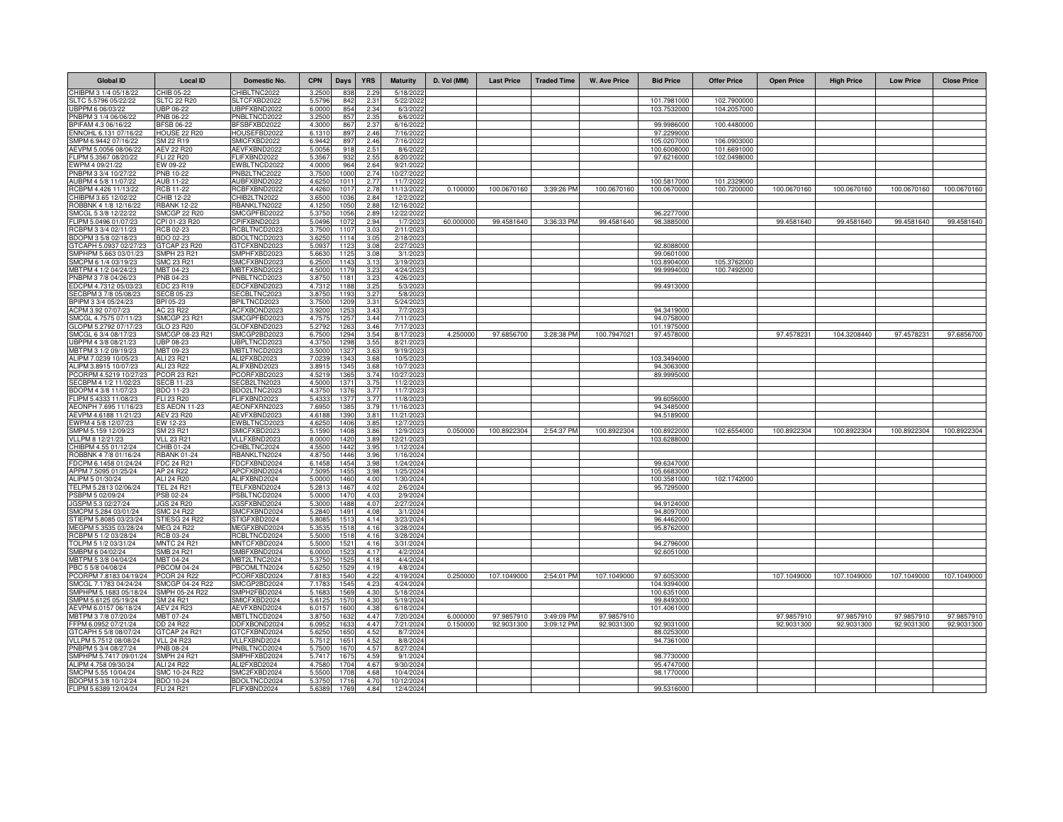| <b>Global ID</b>                                | <b>Local ID</b>                       | Domestic No.                       | <b>CPN</b>      | Days         | <b>YRS</b>   | <b>Maturity</b>         | D. Vol (MM) | <b>Last Price</b> | <b>Traded Time</b> | <b>W. Ave Price</b> | <b>Bid Price</b>          | <b>Offer Price</b> | <b>Open Price</b> | <b>High Price</b> | <b>Low Price</b> | <b>Close Price</b> |
|-------------------------------------------------|---------------------------------------|------------------------------------|-----------------|--------------|--------------|-------------------------|-------------|-------------------|--------------------|---------------------|---------------------------|--------------------|-------------------|-------------------|------------------|--------------------|
| CHIBPM 3 1/4 05/18/22                           | CHIB 05-22                            | CHIBLTNC2022                       | 3.2500          | 838          | 2.29         | 5/18/202                |             |                   |                    |                     |                           |                    |                   |                   |                  |                    |
| SLTC 5.5796 05/22/22                            | <b>SLTC 22 R20</b>                    | SLTCFXBD2022                       | 5.5796          | 842          | 2.31         | 5/22/2022               |             |                   |                    |                     | 101.7981000               | 102.7900000        |                   |                   |                  |                    |
| UBPPM 6 06/03/22                                | JBP 06-22                             | JBPFXBND2022                       | 6.000           | 854          | 2.34         | 6/3/2022                |             |                   |                    |                     | 103.7532000               | 104.2057000        |                   |                   |                  |                    |
| PNBPM 3 1/4 06/06/22<br>BPIFAM 4.3 06/16/22     | PNB 06-22<br><b>BFSB 06-22</b>        | PNBLTNCD2022<br>BFSBFXBD2022       | 3.250<br>4.300  | 857<br>867   | 2.35<br>2.37 | 6/6/2022<br>6/16/2022   |             |                   |                    |                     | 99.9986000                | 100.4480000        |                   |                   |                  |                    |
| ENNOHL 6.131 07/16/22                           | HOUSE 22 R20                          | HOUSEFBD2022                       | 6.131           | 897          | 2.46         | 7/16/2022               |             |                   |                    |                     | 97.2299000                |                    |                   |                   |                  |                    |
| SMPM 6.9442 07/16/22                            | SM 22 R19                             | SMICFXBD2022                       | 6.944           | 897          | 2.46         | 7/16/2022               |             |                   |                    |                     | 105.0207000               | 106.0903000        |                   |                   |                  |                    |
| AEVPM 5.0056 08/06/22                           | <b>AEV 22 R20</b>                     | AEVFXBND2022                       | 5.0056          | 918          | 2.51         | 8/6/2022                |             |                   |                    |                     | 100.6008000               | 101.6691000        |                   |                   |                  |                    |
| FLIPM 5.3567 08/20/22                           | FLI 22 R20                            | FLIFXBND2022                       | 5.356           | 932          | 2.55         | 8/20/2022               |             |                   |                    |                     | 97.6216000                | 102.0498000        |                   |                   |                  |                    |
| EWPM 4 09/21/22                                 | EW 09-22                              | EWBLTNCD2022                       | 4.0000          | 964          | 2.64         | 9/21/2022               |             |                   |                    |                     |                           |                    |                   |                   |                  |                    |
| PNBPM 3 3/4 10/27/22<br>AUBPM 4 5/8 11/07/22    | PNB 10-22<br><b>AUB 11-22</b>         | NB2LTNC2022<br>AUBFXBND2022        | 3.750<br>4.625  | 1000<br>1011 | 2.74<br>2.77 | 10/27/2022<br>11/7/2022 |             |                   |                    |                     | 100.5817000               | 101.2329000        |                   |                   |                  |                    |
| RCBPM 4.426 11/13/22                            | <b>RCB 11-22</b>                      | <b>CBFXBND2022</b>                 | 4.426           | 101          | 2.78         | 11/13/2022              | 0.100000    | 100.0670160       | 3:39:26 PM         | 100.0670160         | 100.0670000               | 100.7200000        | 100.0670160       | 100.0670160       | 100.0670160      | 100.0670160        |
| CHIBPM 3.65 12/02/22                            | CHIB 12-22                            | HIB2LTN2022                        | 3.650           | 1036         | 2.84         | 12/2/2022               |             |                   |                    |                     |                           |                    |                   |                   |                  |                    |
| ROBBNK 4 1/8 12/16/22                           | <b>BANK 12-22</b>                     | <b>RBANKLTN2022</b>                | 4.125           | 1050         | 2.88         | 12/16/202               |             |                   |                    |                     |                           |                    |                   |                   |                  |                    |
| SMCGL 5 3/8 12/22/22                            | <b>SMCGP 22 R20</b>                   | SMCGPFBD2022                       | 5.375           | 1056         | 2.89         | 12/22/2022              |             |                   |                    |                     | 96.2277000                |                    |                   |                   |                  |                    |
| FLIPM 5.0496 01/07/23                           | CPI 01-23 R20                         | CPIFXBND2023                       | 5.049           | 107          | 2.94         | 1/7/2023                | 60.000000   | 99.4581640        | 3:36:33 PM         | 99.4581640          | 98.3885000                |                    | 99.4581640        | 99.4581640        | 99.4581640       | 99.4581640         |
| RCBPM 3 3/4 02/11/23                            | ICB 02-23                             | RCBLTNCD2023                       | 3.750           | 1107         | 3.03         | 2/11/2023               |             |                   |                    |                     |                           |                    |                   |                   |                  |                    |
| BDOPM 3 5/8 02/18/23                            | BDO 02-23                             | <b>BDOLTNCD2023</b>                | 3.625           | 1114         | 3.05         | 2/18/2023               |             |                   |                    |                     |                           |                    |                   |                   |                  |                    |
| GTCAPH 5.0937 02/27/23<br>SMPHPM 5.663 03/01/23 | GTCAP 23 R20<br>SMPH 23 R21           | GTCFXBND2023<br>SMPHFXBD2023       | 5.093<br>5.663  | 1123<br>1125 | 3.08<br>3.08 | 2/27/2023<br>3/1/202    |             |                   |                    |                     | 92.8088000<br>99.0601000  |                    |                   |                   |                  |                    |
| SMCPM 6 1/4 03/19/23                            | SMC 23 R21                            | SMCFXBND2023                       | 6.250           | 114          | 3.13         | 3/19/202                |             |                   |                    |                     | 103.8904000               | 105.3762000        |                   |                   |                  |                    |
| MBTPM 4 1/2 04/24/23                            | MBT 04-23                             | MBTFXBND2023                       | 4.500           | 117          | 3.23         | 4/24/202                |             |                   |                    |                     | 99.9994000                | 100.7492000        |                   |                   |                  |                    |
| PNBPM 3 7/8 04/26/23                            | PNB 04-23                             | PNBLTNCD2023                       | 3.875           | 1181         | 3.23         | 4/26/202                |             |                   |                    |                     |                           |                    |                   |                   |                  |                    |
| EDCPM 4.7312 05/03/23                           | EDC 23 R19                            | EDCFXBND2023                       | 4.731           | 1188         | 3.25         | 5/3/2023                |             |                   |                    |                     | 99.4913000                |                    |                   |                   |                  |                    |
| SECBPM 3 7/8 05/08/23                           | <b>SECB 05-23</b>                     | SECBLTNC2023                       | 3.8750          | 1193         | 3.27         | 5/8/2023                |             |                   |                    |                     |                           |                    |                   |                   |                  |                    |
| BPIPM 3 3/4 05/24/23                            | BPI 05-23                             | BPILTNCD2023                       | 3.7500          | 1209         | 3.31         | 5/24/2023               |             |                   |                    |                     |                           |                    |                   |                   |                  |                    |
| ACPM 3.92 07/07/23                              | AC 23 R22                             | ACFXBOND2023                       | 3.9200          | 1253         | 3.43         | 7/7/2023                |             |                   |                    |                     | 94.3419000                |                    |                   |                   |                  |                    |
| SMCGL 4.7575 07/11/23<br>GLOPM 5.2792 07/17/23  | <b>SMCGP 23 R21</b><br>GLO 23 R20     | SMCGPFBD2023<br>GLOFXBND2023       | 4.757<br>5.2792 | 1257<br>1263 | 3.44<br>3.46 | 7/11/202<br>7/17/2023   |             |                   |                    |                     | 94.0758000<br>101.1975000 |                    |                   |                   |                  |                    |
| SMCGL 6 3/4 08/17/23                            | SMCGP 08-23 R21                       | SMCGP2BD2023                       | 6.750           | 1294         | 3.54         | 8/17/2023               | 4.250000    | 97.6856700        | 3:28:38 PM         | 100.7947021         | 97.4578000                |                    | 97.4578231        | 104.3208440       | 97.4578231       | 97.6856700         |
| UBPPM 4 3/8 08/21/23                            | UBP 08-23                             | UBPLTNCD2023                       | 4.375           | 1298         | 3.55         | 8/21/2023               |             |                   |                    |                     |                           |                    |                   |                   |                  |                    |
| MBTPM 3 1/2 09/19/23                            | MBT 09-23                             | MBTLTNCD2023                       | 3.500           | 132          | 3.63         | 9/19/2023               |             |                   |                    |                     |                           |                    |                   |                   |                  |                    |
| ALIPM 7.0239 10/05/23                           | ALI 23 R21                            | ALI2FXBD2023                       | 7.023           | 1343         | 3.68         | 10/5/2023               |             |                   |                    |                     | 103.3494000               |                    |                   |                   |                  |                    |
| ALIPM 3.8915 10/07/23                           | ALI 23 R22                            | ALIFXBND2023                       | 3.891           | 1345         | 3.68         | 10/7/2023               |             |                   |                    |                     | 94.3063000                |                    |                   |                   |                  |                    |
| PCORPM 4.5219 10/27/23                          | PCOR 23 R21                           | PCORFXBD2023                       | 4.521           | 1365         | 3.74         | 10/27/2023              |             |                   |                    |                     | 89.9995000                |                    |                   |                   |                  |                    |
| SECBPM 4 1/2 11/02/23<br>BDOPM 4 3/8 11/07/23   | <b>SECB 11-23</b><br><b>BDO 11-23</b> | SECB2LTN2023                       | 4.5000          | 1371<br>1376 | 3.75<br>3.77 | 11/2/2023<br>11/7/202   |             |                   |                    |                     |                           |                    |                   |                   |                  |                    |
| FLIPM 5.4333 11/08/23                           | FLI 23 R20                            | BDO2LTNC2023<br>FLIFXBND2023       | 4.375<br>5.433  | 137          | 3.77         | 11/8/202                |             |                   |                    |                     | 99.6056000                |                    |                   |                   |                  |                    |
| AEONPH 7.695 11/16/23                           | <b>ES AEON 11-23</b>                  | AEONFXRN2023                       | 7.695           | 1385         | 3.79         | 11/16/202               |             |                   |                    |                     | 94.3485000                |                    |                   |                   |                  |                    |
| AEVPM 4.6188 11/21/23                           | <b>AEV 23 R20</b>                     | AEVFXBND2023                       | 4.618           | 1390         | 3.81         | 11/21/202               |             |                   |                    |                     | 94.5189000                |                    |                   |                   |                  |                    |
| EWPM 4 5/8 12/07/23                             | EW 12-23                              | EWBLTNCD2023                       | 4.625           | 1406         | 3.85         | 12/7/202                |             |                   |                    |                     |                           |                    |                   |                   |                  |                    |
| SMPM 5.159 12/09/23                             | SM 23 R21                             | SMICFXBD2023                       | 5.1590          | 1408         | 3.86         | 12/9/2023               | 0.050000    | 100.8922304       | 2:54:37 PM         | 100.8922304         | 100.8922000               | 102.6554000        | 100.8922304       | 100.8922304       | 100.8922304      | 100.8922304        |
| VLLPM 8 12/21/23                                | <b>VLL 23 R21</b>                     | VLLFXBND2023                       | 8.0000          | 1420         | 3.89         | 12/21/2023              |             |                   |                    |                     | 103.6288000               |                    |                   |                   |                  |                    |
| CHIBPM 4.55 01/12/24                            | CHIB 01-24                            | CHIBLTNC2024                       | 4.550           | 1442         | 3.95         | 1/12/2024               |             |                   |                    |                     |                           |                    |                   |                   |                  |                    |
| ROBBNK 4 7/8 01/16/24<br>FDCPM 6.1458 01/24/24  | <b>RBANK 01-24</b><br>FDC 24 R21      | <b>BANKLTN2024</b><br>FDCFXBND2024 | 4.875<br>6.145  | 1446<br>1454 | 3.96<br>3.98 | 1/16/2024<br>1/24/2024  |             |                   |                    |                     | 99.6347000                |                    |                   |                   |                  |                    |
| APPM 7.5095 01/25/24                            | AP 24 R22                             | APCFXBND2024                       | 7.509           | 145          | 3.98         | 1/25/2024               |             |                   |                    |                     | 105.6683000               |                    |                   |                   |                  |                    |
| ALIPM 5 01/30/24                                | ALI 24 R20                            | ALIFXBND2024                       | 5.000           | 1460         | 4.00         | 1/30/2024               |             |                   |                    |                     | 100.3581000               | 102.1742000        |                   |                   |                  |                    |
| TELPM 5.2813 02/06/24                           | <b>TEL 24 R21</b>                     | FELFXBND2024                       | 5.281           | 1467         | 4.02         | 2/6/202                 |             |                   |                    |                     | 95.7295000                |                    |                   |                   |                  |                    |
| PSBPM 5 02/09/24                                | PSB 02-24                             | SBLTNCD2024                        | 5.000           | 1470         | 4.03         | 2/9/2024                |             |                   |                    |                     |                           |                    |                   |                   |                  |                    |
| JGSPM 5.3 02/27/24                              | <b>JGS 24 R20</b>                     | JGSFXBND2024                       | 5.300           | 1488         | 4.07         | 2/27/2024               |             |                   |                    |                     | 94.9124000                |                    |                   |                   |                  |                    |
| SMCPM 5.284 03/01/24                            | <b>SMC 24 R22</b>                     | SMCFXBND2024                       | 5.2840          | 1491         | 4.08         | 3/1/2024                |             |                   |                    |                     | 94.8097000                |                    |                   |                   |                  |                    |
| STIEPM 5.8085 03/23/24<br>MEGPM 5.3535 03/28/24 | STIESG 24 R22                         | STIGFXBD2024                       | 5.808           | 1513         | 4.14         | 3/23/2024               |             |                   |                    |                     | 96.4462000                |                    |                   |                   |                  |                    |
| RCBPM 5 1/2 03/28/24                            | <b>MEG 24 R22</b><br>RCB 03-24        | MEGFXBND2024<br>RCBLTNCD2024       | 5.353<br>5.500  | 1518<br>151  | 4.16<br>4.1( | 3/28/2024<br>3/28/2024  |             |                   |                    |                     | 95.8762000                |                    |                   |                   |                  |                    |
| TOLPM 5 1/2 03/31/24                            | <b>MNTC 24 R21</b>                    | MNTCFXBD2024                       | 5.500           | 152          | 4.11         | 3/31/2024               |             |                   |                    |                     | 94.2796000                |                    |                   |                   |                  |                    |
| SMBPM 6 04/02/24                                | <b>SMB 24 R21</b>                     | SMBFXBND2024                       | 6.000           | 1523         | 4.17         | 4/2/2024                |             |                   |                    |                     | 92.6051000                |                    |                   |                   |                  |                    |
| MBTPM 5 3/8 04/04/24                            | MBT 04-24                             | MBT2LTNC2024                       | 5.375           | 1525         | 4.18         | 4/4/2024                |             |                   |                    |                     |                           |                    |                   |                   |                  |                    |
| PBC 5 5/8 04/08/24                              | <b>PBCOM 04-24</b>                    | PBCOMLTN2024                       | 5.625           | 1529         | 4.19         | 4/8/2024                |             |                   |                    |                     |                           |                    |                   |                   |                  |                    |
| PCORPM 7.8183 04/19/24                          | <b>PCOR 24 R22</b>                    | PCORFXBD2024                       | 7.818           | 1540         | 4.22         | 4/19/2024               | 0.250000    | 107.1049000       | 2:54:01 PM         | 107.1049000         | 97.6053000                |                    | 107.1049000       | 107.1049000       | 107.1049000      | 107.1049000        |
| SMCGL 7.1783 04/24/24                           | SMCGP 04-24 R22                       | SMCGP2BD2024                       | 7.178           | 1545         | 4.23         | 4/24/2024               |             |                   |                    |                     | 104.9394000               |                    |                   |                   |                  |                    |
| SMPHPM 5.1683 05/18/24<br>SMPM 5.6125 05/19/24  | SMPH 05-24 R22                        | SMPH2FBD2024<br>SMICFXBD2024       | 5.168           | 1569         | 4.30         | 5/18/2024               |             |                   |                    |                     | 100.6351000               |                    |                   |                   |                  |                    |
| AEVPM 6.0157 06/18/24                           | SM 24 R21<br><b>AEV 24 R23</b>        | AEVFXBND2024                       | 5.612<br>6.015  | 1570<br>1600 | 4.30<br>4.38 | 5/19/2024<br>6/18/2024  |             |                   |                    |                     | 99.8493000<br>101.4061000 |                    |                   |                   |                  |                    |
| MBTPM 3 7/8 07/20/24                            | MBT 07-24                             | <b>MBTLTNCD2024</b>                | 3.875           | 1632         | 4.47         | 7/20/2024               | 6.000000    | 97.9857910        | 3:49:09 PM         | 97.9857910          |                           |                    | 97.9857910        | 97.9857910        | 97.9857910       | 97.9857910         |
| FFPM 6.0952 07/21/24                            | DD 24 R22                             | DDFXBOND2024                       | 6.095           | 163          | 4.47         | 7/21/202                | 0.15000     | 92.9031300        | 3:09:12 PM         | 92.9031300          | 92.9031000                |                    | 92.9031300        | 92.9031300        | 92.9031300       | 92.9031300         |
| GTCAPH 5 5/8 08/07/24                           | GTCAP 24 R21                          | GTCFXBND2024                       | 5.625           | 1650         | 4.52         | 8/7/2024                |             |                   |                    |                     | 88.0253000                |                    |                   |                   |                  |                    |
| VLLPM 5.7512 08/08/24                           | <b>VLL 24 R23</b>                     | VLLFXBND2024                       | 5.7512          | 1651         | 4.52         | 8/8/2024                |             |                   |                    |                     | 94.7361000                |                    |                   |                   |                  |                    |
| PNBPM 5 3/4 08/27/24                            | PNB 08-24                             | PNBLTNCD2024                       | 5.7500          | 1670         | 4.57         | 8/27/2024               |             |                   |                    |                     |                           |                    |                   |                   |                  |                    |
| SMPHPM 5.7417 09/01/24                          | <b>SMPH 24 R21</b>                    | SMPHFXBD2024                       | 5.741           | 167          | 4.59         | 9/1/2024                |             |                   |                    |                     | 98.7730000                |                    |                   |                   |                  |                    |
| ALIPM 4.758 09/30/24<br>SMCPM 5.55 10/04/24     | ALI 24 R22<br>SMC 10-24 R22           | ALI2FXBD2024<br>SMC2FXBD2024       | 4.758<br>5.550  | 1704<br>1708 | 4.67<br>4.68 | 9/30/2024<br>10/4/2024  |             |                   |                    |                     | 95.4747000<br>98.1770000  |                    |                   |                   |                  |                    |
| BDOPM 5 3/8 10/12/24                            | <b>BDO 10-24</b>                      | BDOLTNCD2024                       | 5.375           | 1716         | 4.7          | 10/12/202               |             |                   |                    |                     |                           |                    |                   |                   |                  |                    |
| FLIPM 5.6389 12/04/24                           | <b>FLI 24 R21</b>                     | FLIFXBND2024                       | 5.638           | 1769         | 4.84         | 12/4/2024               |             |                   |                    |                     | 99.5316000                |                    |                   |                   |                  |                    |
|                                                 |                                       |                                    |                 |              |              |                         |             |                   |                    |                     |                           |                    |                   |                   |                  |                    |